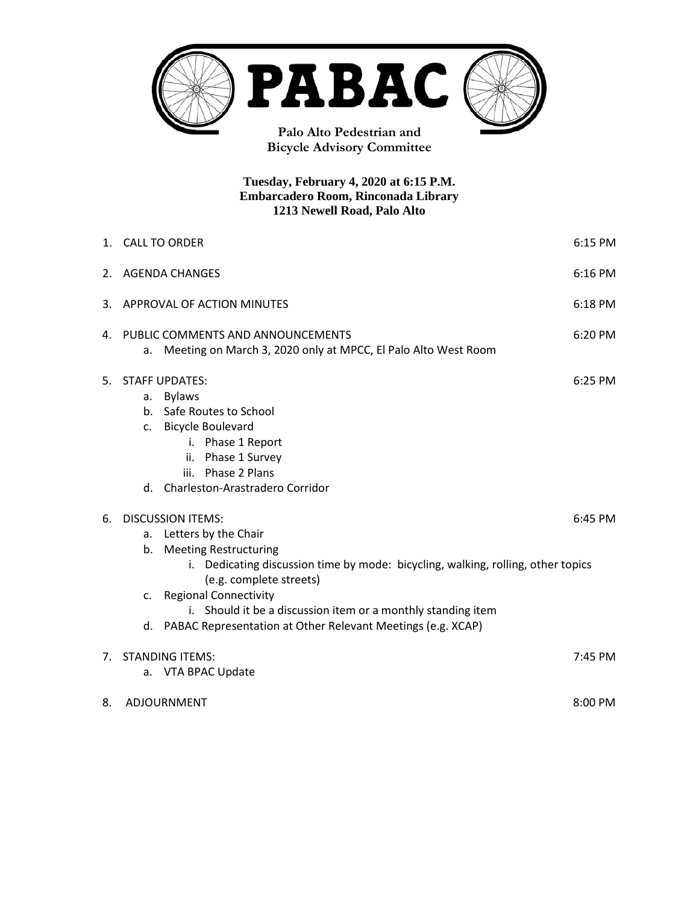

**Tuesday, February 4, 2020 at 6:15 P.M. Embarcadero Room, Rinconada Library 1213 Newell Road, Palo Alto**

|    | 1. CALL TO ORDER<br>6:15 PM                                                                                                                                                                                                                                                                                                                                                |           |  |  |
|----|----------------------------------------------------------------------------------------------------------------------------------------------------------------------------------------------------------------------------------------------------------------------------------------------------------------------------------------------------------------------------|-----------|--|--|
| 2. | <b>AGENDA CHANGES</b><br>$6:16$ PM                                                                                                                                                                                                                                                                                                                                         |           |  |  |
| 3. | APPROVAL OF ACTION MINUTES<br>6:18 PM                                                                                                                                                                                                                                                                                                                                      |           |  |  |
| 4. | PUBLIC COMMENTS AND ANNOUNCEMENTS<br>6:20 PM<br>Meeting on March 3, 2020 only at MPCC, El Palo Alto West Room<br>a.                                                                                                                                                                                                                                                        |           |  |  |
| 5. | <b>STAFF UPDATES:</b><br><b>Bylaws</b><br>а.<br>b. Safe Routes to School<br>c. Bicycle Boulevard<br>i. Phase 1 Report<br>ii. Phase 1 Survey<br>iii. Phase 2 Plans<br>d. Charleston-Arastradero Corridor                                                                                                                                                                    | $6:25$ PM |  |  |
| 6. | <b>DISCUSSION ITEMS:</b><br>6:45 PM<br>Letters by the Chair<br>а.<br>b. Meeting Restructuring<br>i. Dedicating discussion time by mode: bicycling, walking, rolling, other topics<br>(e.g. complete streets)<br>c. Regional Connectivity<br>i. Should it be a discussion item or a monthly standing item<br>d. PABAC Representation at Other Relevant Meetings (e.g. XCAP) |           |  |  |
| 7. | <b>STANDING ITEMS:</b><br>7:45 PM<br>VTA BPAC Update<br>а.                                                                                                                                                                                                                                                                                                                 |           |  |  |
| 8. | 8:00 PM<br>ADJOURNMENT                                                                                                                                                                                                                                                                                                                                                     |           |  |  |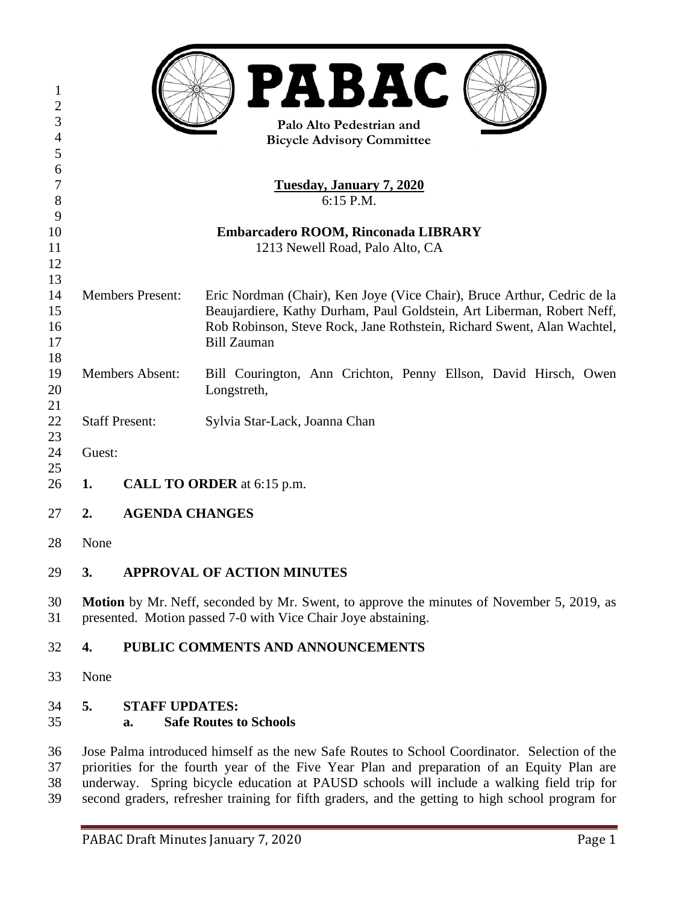| 1<br>$\overline{2}$<br>3<br>$\overline{4}$ | <b>PABAC</b><br>Palo Alto Pedestrian and<br><b>Bicycle Advisory Committee</b>                                                                                                                                                                                                                                                                                                               |                             |                                                                                                                                                                                                                                                   |  |  |
|--------------------------------------------|---------------------------------------------------------------------------------------------------------------------------------------------------------------------------------------------------------------------------------------------------------------------------------------------------------------------------------------------------------------------------------------------|-----------------------------|---------------------------------------------------------------------------------------------------------------------------------------------------------------------------------------------------------------------------------------------------|--|--|
| 5                                          |                                                                                                                                                                                                                                                                                                                                                                                             |                             |                                                                                                                                                                                                                                                   |  |  |
| 6                                          |                                                                                                                                                                                                                                                                                                                                                                                             |                             |                                                                                                                                                                                                                                                   |  |  |
| 7<br>8                                     | <b>Tuesday, January 7, 2020</b><br>6:15 P.M.                                                                                                                                                                                                                                                                                                                                                |                             |                                                                                                                                                                                                                                                   |  |  |
| 9                                          |                                                                                                                                                                                                                                                                                                                                                                                             |                             |                                                                                                                                                                                                                                                   |  |  |
| 10                                         | Embarcadero ROOM, Rinconada LIBRARY                                                                                                                                                                                                                                                                                                                                                         |                             |                                                                                                                                                                                                                                                   |  |  |
| 11                                         |                                                                                                                                                                                                                                                                                                                                                                                             |                             | 1213 Newell Road, Palo Alto, CA                                                                                                                                                                                                                   |  |  |
| 12<br>13                                   |                                                                                                                                                                                                                                                                                                                                                                                             |                             |                                                                                                                                                                                                                                                   |  |  |
| 14<br>15<br>16<br>17                       | <b>Members Present:</b>                                                                                                                                                                                                                                                                                                                                                                     |                             | Eric Nordman (Chair), Ken Joye (Vice Chair), Bruce Arthur, Cedric de la<br>Beaujardiere, Kathy Durham, Paul Goldstein, Art Liberman, Robert Neff,<br>Rob Robinson, Steve Rock, Jane Rothstein, Richard Swent, Alan Wachtel,<br><b>Bill Zauman</b> |  |  |
| 18                                         |                                                                                                                                                                                                                                                                                                                                                                                             |                             |                                                                                                                                                                                                                                                   |  |  |
| 19                                         | <b>Members Absent:</b>                                                                                                                                                                                                                                                                                                                                                                      |                             | Bill Courington, Ann Crichton, Penny Ellson, David Hirsch, Owen                                                                                                                                                                                   |  |  |
| 20                                         |                                                                                                                                                                                                                                                                                                                                                                                             |                             | Longstreth,                                                                                                                                                                                                                                       |  |  |
| 21                                         |                                                                                                                                                                                                                                                                                                                                                                                             |                             |                                                                                                                                                                                                                                                   |  |  |
| 22                                         |                                                                                                                                                                                                                                                                                                                                                                                             | <b>Staff Present:</b>       | Sylvia Star-Lack, Joanna Chan                                                                                                                                                                                                                     |  |  |
| 23<br>24                                   |                                                                                                                                                                                                                                                                                                                                                                                             |                             |                                                                                                                                                                                                                                                   |  |  |
| 25                                         | Guest:                                                                                                                                                                                                                                                                                                                                                                                      |                             |                                                                                                                                                                                                                                                   |  |  |
| 26                                         | <b>CALL TO ORDER</b> at 6:15 p.m.<br>1.                                                                                                                                                                                                                                                                                                                                                     |                             |                                                                                                                                                                                                                                                   |  |  |
| 27                                         | <b>AGENDA CHANGES</b><br>2.                                                                                                                                                                                                                                                                                                                                                                 |                             |                                                                                                                                                                                                                                                   |  |  |
| 28                                         | None                                                                                                                                                                                                                                                                                                                                                                                        |                             |                                                                                                                                                                                                                                                   |  |  |
| 29                                         | 3.                                                                                                                                                                                                                                                                                                                                                                                          |                             | <b>APPROVAL OF ACTION MINUTES</b>                                                                                                                                                                                                                 |  |  |
| 30<br>31                                   | <b>Motion</b> by Mr. Neff, seconded by Mr. Swent, to approve the minutes of November 5, 2019, as<br>presented. Motion passed 7-0 with Vice Chair Joye abstaining.                                                                                                                                                                                                                           |                             |                                                                                                                                                                                                                                                   |  |  |
| 32                                         | 4.                                                                                                                                                                                                                                                                                                                                                                                          |                             | PUBLIC COMMENTS AND ANNOUNCEMENTS                                                                                                                                                                                                                 |  |  |
| 33                                         | None                                                                                                                                                                                                                                                                                                                                                                                        |                             |                                                                                                                                                                                                                                                   |  |  |
| 34<br>35                                   | 5.                                                                                                                                                                                                                                                                                                                                                                                          | <b>STAFF UPDATES:</b><br>a. | <b>Safe Routes to Schools</b>                                                                                                                                                                                                                     |  |  |
| 36<br>37<br>38<br>39                       | Jose Palma introduced himself as the new Safe Routes to School Coordinator. Selection of the<br>priorities for the fourth year of the Five Year Plan and preparation of an Equity Plan are<br>underway. Spring bicycle education at PAUSD schools will include a walking field trip for<br>second graders, refresher training for fifth graders, and the getting to high school program for |                             |                                                                                                                                                                                                                                                   |  |  |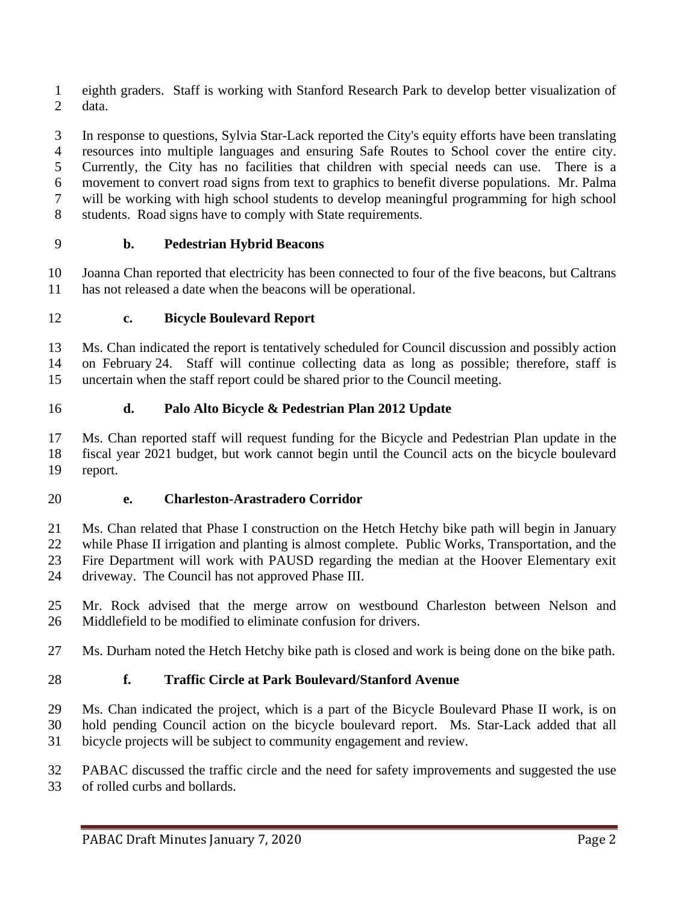eighth graders. Staff is working with Stanford Research Park to develop better visualization of data.

 In response to questions, Sylvia Star-Lack reported the City's equity efforts have been translating resources into multiple languages and ensuring Safe Routes to School cover the entire city. Currently, the City has no facilities that children with special needs can use. There is a movement to convert road signs from text to graphics to benefit diverse populations. Mr. Palma will be working with high school students to develop meaningful programming for high school students. Road signs have to comply with State requirements.

# **b. Pedestrian Hybrid Beacons**

 Joanna Chan reported that electricity has been connected to four of the five beacons, but Caltrans has not released a date when the beacons will be operational.

# **c. Bicycle Boulevard Report**

 Ms. Chan indicated the report is tentatively scheduled for Council discussion and possibly action on February 24. Staff will continue collecting data as long as possible; therefore, staff is uncertain when the staff report could be shared prior to the Council meeting.

# **d. Palo Alto Bicycle & Pedestrian Plan 2012 Update**

 Ms. Chan reported staff will request funding for the Bicycle and Pedestrian Plan update in the fiscal year 2021 budget, but work cannot begin until the Council acts on the bicycle boulevard report.

### **e. Charleston-Arastradero Corridor**

 Ms. Chan related that Phase I construction on the Hetch Hetchy bike path will begin in January while Phase II irrigation and planting is almost complete. Public Works, Transportation, and the Fire Department will work with PAUSD regarding the median at the Hoover Elementary exit driveway. The Council has not approved Phase III.

 Mr. Rock advised that the merge arrow on westbound Charleston between Nelson and Middlefield to be modified to eliminate confusion for drivers.

Ms. Durham noted the Hetch Hetchy bike path is closed and work is being done on the bike path.

# **f. Traffic Circle at Park Boulevard/Stanford Avenue**

 Ms. Chan indicated the project, which is a part of the Bicycle Boulevard Phase II work, is on hold pending Council action on the bicycle boulevard report. Ms. Star-Lack added that all bicycle projects will be subject to community engagement and review.

 PABAC discussed the traffic circle and the need for safety improvements and suggested the use of rolled curbs and bollards.